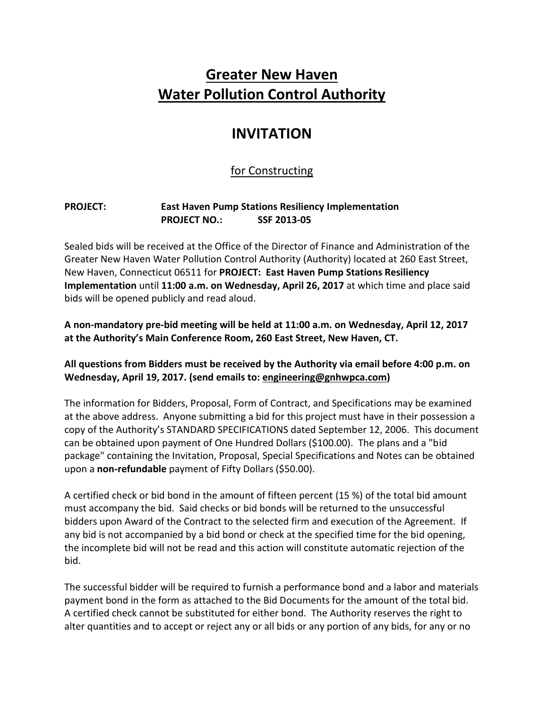# **Greater New Haven Water Pollution Control Authority**

## **INVITATION**

## for Constructing

### **PROJECT: East Haven Pump Stations Resiliency Implementation PROJECT NO.: SSF 2013-05**

Sealed bids will be received at the Office of the Director of Finance and Administration of the Greater New Haven Water Pollution Control Authority (Authority) located at 260 East Street, New Haven, Connecticut 06511 for **PROJECT: East Haven Pump Stations Resiliency Implementation** until **11:00 a.m. on Wednesday, April 26, 2017** at which time and place said bids will be opened publicly and read aloud.

**A non-mandatory pre-bid meeting will be held at 11:00 a.m. on Wednesday, April 12, 2017 at the Authority's Main Conference Room, 260 East Street, New Haven, CT.**

**All questions from Bidders must be received by the Authority via email before 4:00 p.m. on Wednesday, April 19, 2017. (send emails to: engineering@gnhwpca.com)**

The information for Bidders, Proposal, Form of Contract, and Specifications may be examined at the above address. Anyone submitting a bid for this project must have in their possession a copy of the Authority's STANDARD SPECIFICATIONS dated September 12, 2006. This document can be obtained upon payment of One Hundred Dollars (\$100.00). The plans and a "bid package" containing the Invitation, Proposal, Special Specifications and Notes can be obtained upon a **non-refundable** payment of Fifty Dollars (\$50.00).

A certified check or bid bond in the amount of fifteen percent (15 %) of the total bid amount must accompany the bid. Said checks or bid bonds will be returned to the unsuccessful bidders upon Award of the Contract to the selected firm and execution of the Agreement. If any bid is not accompanied by a bid bond or check at the specified time for the bid opening, the incomplete bid will not be read and this action will constitute automatic rejection of the bid.

The successful bidder will be required to furnish a performance bond and a labor and materials payment bond in the form as attached to the Bid Documents for the amount of the total bid. A certified check cannot be substituted for either bond. The Authority reserves the right to alter quantities and to accept or reject any or all bids or any portion of any bids, for any or no